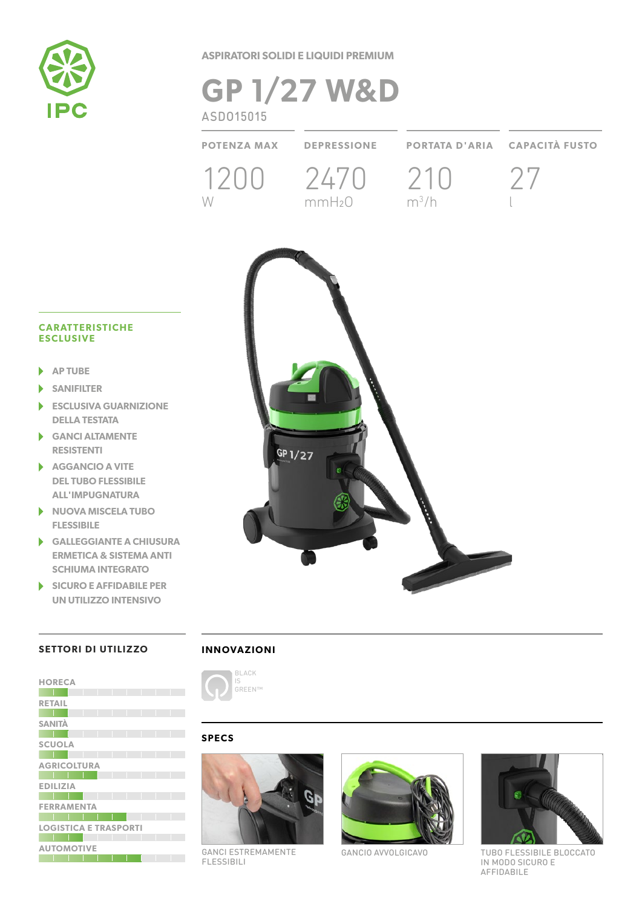

**ASPIRATORI SOLIDI E LIQUIDI PREMIUM**

# **GP 1/27 W&D** ASDO15015

**POTENZA MAX DEPRESSIONE PORTATA D'ARIA CAPACITÀ FUSTO** 1200 2470 210 27 W  $mmH<sub>2</sub>O$   $m<sup>3</sup>/h$ l

### **CARATTERISTICHE ESCLUSIVE**

- **AP TUBE**
- **SANIFILTER**
- **ESCLUSIVA GUARNIZIONE**  ь **DELLA TESTATA**
- **GANCI ALTAMENTE RESISTENTI**
- **AGGANCIO A VITE DEL TUBO FLESSIBILE ALL'IMPUGNATURA**
- **NUOVA MISCELA TUBO FLESSIBILE**
- **GALLEGGIANTE A CHIUSURA ERMETICA & SISTEMA ANTI SCHIUMA INTEGRATO**
- **SICURO E AFFIDABILE PER UN UTILIZZO INTENSIVO**

# GP 1/27

# **SETTORI DI UTILIZZO**

| <b>HORECA</b>                |  |  |  |  |
|------------------------------|--|--|--|--|
|                              |  |  |  |  |
| <b>RETAIL</b>                |  |  |  |  |
|                              |  |  |  |  |
| <b>SANITÀ</b>                |  |  |  |  |
|                              |  |  |  |  |
| <b>SCUOLA</b>                |  |  |  |  |
|                              |  |  |  |  |
| <b>AGRICOLTURA</b>           |  |  |  |  |
|                              |  |  |  |  |
| <b>EDILIZIA</b>              |  |  |  |  |
|                              |  |  |  |  |
| <b>FERRAMENTA</b>            |  |  |  |  |
|                              |  |  |  |  |
| <b>LOGISTICA E TRASPORTI</b> |  |  |  |  |
|                              |  |  |  |  |
| <b>AUTOMOTIVE</b>            |  |  |  |  |
|                              |  |  |  |  |

## **INNOVAZIONI**



# **SPECS**



GANCI ESTREMAMENTE FLESSIBILI



GANCIO AVVOLGICAVO



TUBO FLESSIBILE BLOCCATO IN MODO SICURO E AFFIDABILE